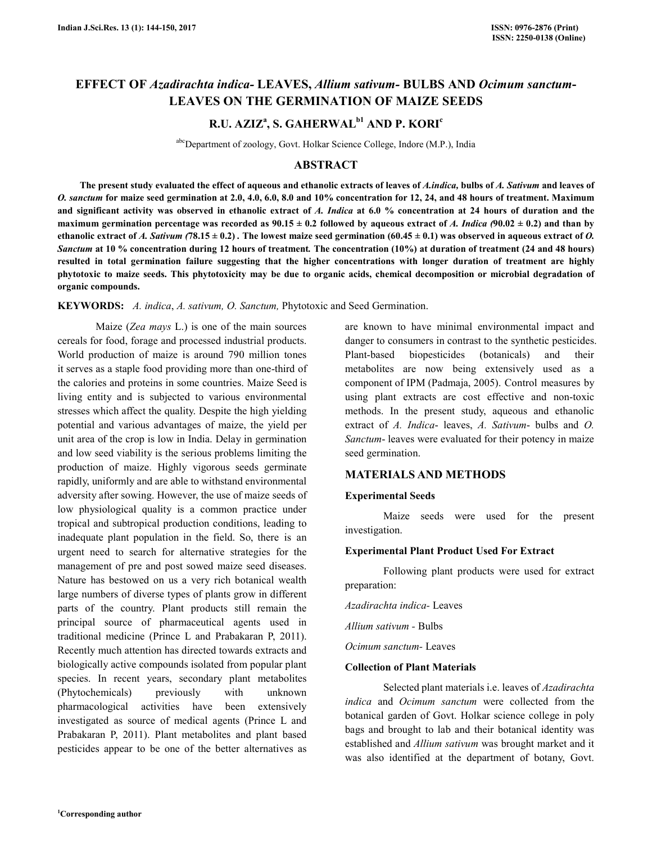# **EFFECT OF** *Azadirachta indica-* **LEAVES,** *Allium sativum-* **BULBS AND** *Ocimum sanctum***-LEAVES ON THE GERMINATION OF MAIZE SEEDS**

# **R.U. AZIZ<sup>a</sup> , S. GAHERWALb1 AND P. KORI<sup>c</sup>**

abcDepartment of zoology, Govt. Holkar Science College, Indore (M.P.), India

# **ABSTRACT**

 **The present study evaluated the effect of aqueous and ethanolic extracts of leaves of** *A.indica,* **bulbs of** *A. Sativum* **and leaves of** *O. sanctum* **for maize seed germination at 2.0, 4.0, 6.0, 8.0 and 10% concentration for 12, 24, and 48 hours of treatment. Maximum and significant activity was observed in ethanolic extract of** *A. Indica* **at 6.0 % concentration at 24 hours of duration and the**  maximum germination percentage was recorded as  $90.15 \pm 0.2$  followed by aqueous extract of *A. Indica* ( $90.02 \pm 0.2$ ) and than by ethanolic extract of *A. Sativum* (78.15  $\pm$  0.2). The lowest maize seed germination (60.45  $\pm$  0.1) was observed in aqueous extract of *O*. *Sanctum* **at 10 % concentration during 12 hours of treatment***.* **The concentration (10%) at duration of treatment (24 and 48 hours) resulted in total germination failure suggesting that the higher concentrations with longer duration of treatment are highly phytotoxic to maize seeds. This phytotoxicity may be due to organic acids, chemical decomposition or microbial degradation of organic compounds.** 

**KEYWORDS:** *A. indica*, *A. sativum, O. Sanctum,* Phytotoxic and Seed Germination.

Maize (*Zea mays* L.) is one of the main sources cereals for food, forage and processed industrial products. World production of maize is around 790 million tones it serves as a staple food providing more than one-third of the calories and proteins in some countries. Maize Seed is living entity and is subjected to various environmental stresses which affect the quality. Despite the high yielding potential and various advantages of maize, the yield per unit area of the crop is low in India. Delay in germination and low seed viability is the serious problems limiting the production of maize. Highly vigorous seeds germinate rapidly, uniformly and are able to withstand environmental adversity after sowing. However, the use of maize seeds of low physiological quality is a common practice under tropical and subtropical production conditions, leading to inadequate plant population in the field. So, there is an urgent need to search for alternative strategies for the management of pre and post sowed maize seed diseases. Nature has bestowed on us a very rich botanical wealth large numbers of diverse types of plants grow in different parts of the country. Plant products still remain the principal source of pharmaceutical agents used in traditional medicine (Prince L and Prabakaran P, 2011). Recently much attention has directed towards extracts and biologically active compounds isolated from popular plant species. In recent years, secondary plant metabolites (Phytochemicals) previously with unknown pharmacological activities have been extensively investigated as source of medical agents (Prince L and Prabakaran P, 2011). Plant metabolites and plant based pesticides appear to be one of the better alternatives as are known to have minimal environmental impact and danger to consumers in contrast to the synthetic pesticides. Plant-based biopesticides (botanicals) and their metabolites are now being extensively used as a component of IPM (Padmaja, 2005). Control measures by using plant extracts are cost effective and non-toxic methods. In the present study, aqueous and ethanolic extract of *A. Indica*- leaves, *A. Sativum*- bulbs and *O. Sanctum*- leaves were evaluated for their potency in maize seed germination.

# **MATERIALS AND METHODS**

## **Experimental Seeds**

Maize seeds were used for the present investigation.

#### **Experimental Plant Product Used For Extract**

Following plant products were used for extract preparation:

*Azadirachta indica-* Leaves

*Allium sativum -* Bulbs

*Ocimum sanctum-* Leaves

## **Collection of Plant Materials**

Selected plant materials i.e. leaves of *Azadirachta indica* and *Ocimum sanctum* were collected from the botanical garden of Govt. Holkar science college in poly bags and brought to lab and their botanical identity was established and *Allium sativum* was brought market and it was also identified at the department of botany, Govt.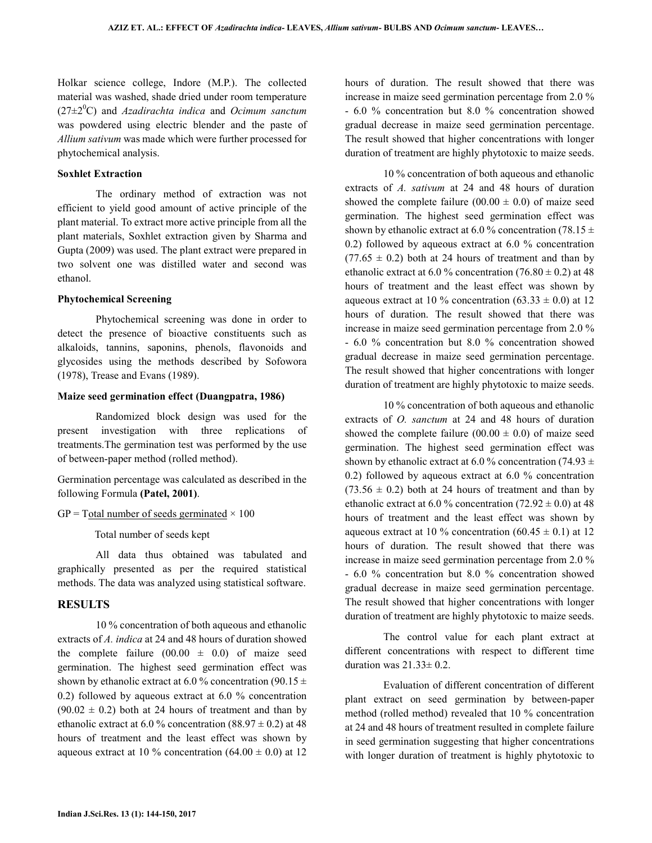Holkar science college, Indore (M.P.). The collected material was washed, shade dried under room temperature (27±2<sup>0</sup>C) and *Azadirachta indica* and *Ocimum sanctum* was powdered using electric blender and the paste of *Allium sativum* was made which were further processed for phytochemical analysis.

### **Soxhlet Extraction**

The ordinary method of extraction was not efficient to yield good amount of active principle of the plant material. To extract more active principle from all the plant materials, Soxhlet extraction given by Sharma and Gupta (2009) was used. The plant extract were prepared in two solvent one was distilled water and second was ethanol.

#### **Phytochemical Screening**

Phytochemical screening was done in order to detect the presence of bioactive constituents such as alkaloids, tannins, saponins, phenols, flavonoids and glycosides using the methods described by Sofowora (1978), Trease and Evans (1989).

#### **Maize seed germination effect (Duangpatra, 1986)**

Randomized block design was used for the present investigation with three replications of treatments.The germination test was performed by the use of between-paper method (rolled method).

Germination percentage was calculated as described in the following Formula **(Patel, 2001)**.

#### $GP = Total number of seeds germinated \times 100$

Total number of seeds kept

All data thus obtained was tabulated and graphically presented as per the required statistical methods. The data was analyzed using statistical software.

## **RESULTS**

10 % concentration of both aqueous and ethanolic extracts of *A. indica* at 24 and 48 hours of duration showed the complete failure  $(00.00 \pm 0.0)$  of maize seed germination. The highest seed germination effect was shown by ethanolic extract at 6.0 % concentration (90.15  $\pm$ 0.2) followed by aqueous extract at 6.0 % concentration  $(90.02 \pm 0.2)$  both at 24 hours of treatment and than by ethanolic extract at 6.0 % concentration (88.97  $\pm$  0.2) at 48 hours of treatment and the least effect was shown by aqueous extract at 10 % concentration (64.00  $\pm$  0.0) at 12 hours of duration. The result showed that there was increase in maize seed germination percentage from 2.0 % - 6.0 % concentration but 8.0 % concentration showed gradual decrease in maize seed germination percentage. The result showed that higher concentrations with longer duration of treatment are highly phytotoxic to maize seeds.

10 % concentration of both aqueous and ethanolic extracts of *A. sativum* at 24 and 48 hours of duration showed the complete failure  $(00.00 \pm 0.0)$  of maize seed germination. The highest seed germination effect was shown by ethanolic extract at 6.0 % concentration (78.15  $\pm$ 0.2) followed by aqueous extract at 6.0 % concentration  $(77.65 \pm 0.2)$  both at 24 hours of treatment and than by ethanolic extract at 6.0 % concentration  $(76.80 \pm 0.2)$  at 48 hours of treatment and the least effect was shown by aqueous extract at 10 % concentration (63.33  $\pm$  0.0) at 12 hours of duration. The result showed that there was increase in maize seed germination percentage from 2.0 % - 6.0 % concentration but 8.0 % concentration showed gradual decrease in maize seed germination percentage. The result showed that higher concentrations with longer duration of treatment are highly phytotoxic to maize seeds.

10 % concentration of both aqueous and ethanolic extracts of *O. sanctum* at 24 and 48 hours of duration showed the complete failure  $(00.00 \pm 0.0)$  of maize seed germination. The highest seed germination effect was shown by ethanolic extract at 6.0 % concentration (74.93  $\pm$ 0.2) followed by aqueous extract at 6.0 % concentration  $(73.56 \pm 0.2)$  both at 24 hours of treatment and than by ethanolic extract at 6.0 % concentration (72.92  $\pm$  0.0) at 48 hours of treatment and the least effect was shown by aqueous extract at 10 % concentration (60.45  $\pm$  0.1) at 12 hours of duration. The result showed that there was increase in maize seed germination percentage from 2.0 % - 6.0 % concentration but 8.0 % concentration showed gradual decrease in maize seed germination percentage. The result showed that higher concentrations with longer duration of treatment are highly phytotoxic to maize seeds.

The control value for each plant extract at different concentrations with respect to different time duration was  $21.33 \pm 0.2$ .

Evaluation of different concentration of different plant extract on seed germination by between-paper method (rolled method) revealed that 10 % concentration at 24 and 48 hours of treatment resulted in complete failure in seed germination suggesting that higher concentrations with longer duration of treatment is highly phytotoxic to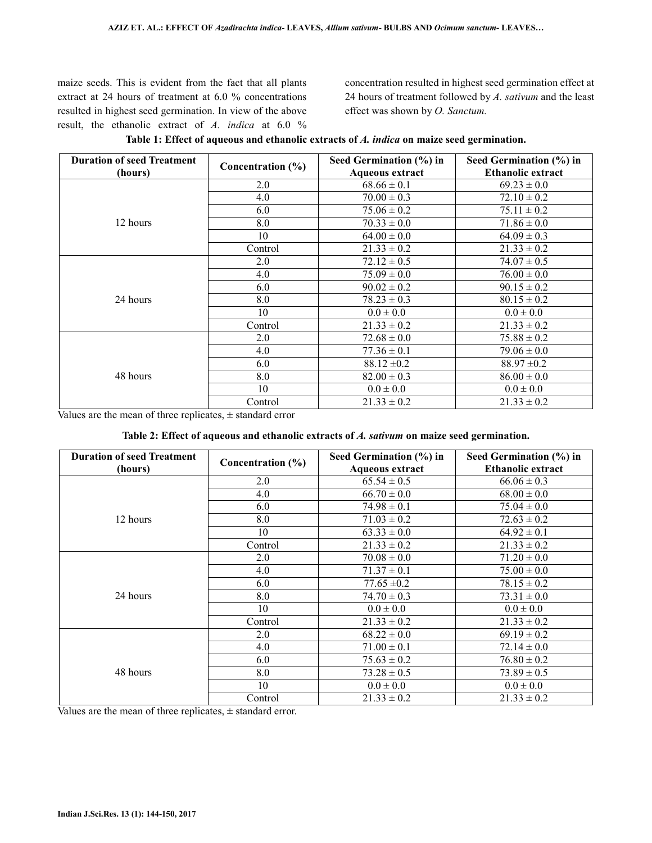maize seeds. This is evident from the fact that all plants extract at 24 hours of treatment at 6.0 % concentrations resulted in highest seed germination. In view of the above result, the ethanolic extract of *A. indica* at 6.0 % concentration resulted in highest seed germination effect at 24 hours of treatment followed by *A. sativum* and the least effect was shown by *O. Sanctum.*

| <b>Duration of seed Treatment</b> | Concentration (%) | Seed Germination (%) in<br><b>Aqueous extract</b> | Seed Germination (%) in<br><b>Ethanolic extract</b> |
|-----------------------------------|-------------------|---------------------------------------------------|-----------------------------------------------------|
| (hours)                           | 2.0               |                                                   | $69.23 \pm 0.0$                                     |
|                                   |                   | $68.66 \pm 0.1$                                   |                                                     |
|                                   | 4.0               | $70.00 \pm 0.3$                                   | $72.10 \pm 0.2$                                     |
|                                   | 6.0               | $75.06 \pm 0.2$                                   | $75.11 \pm 0.2$                                     |
| 12 hours                          | 8.0               | $70.33 \pm 0.0$                                   | $71.86 \pm 0.0$                                     |
|                                   | 10                | $64.00 \pm 0.0$                                   | $64.09 \pm 0.3$                                     |
|                                   | Control           | $21.33 \pm 0.2$                                   | $21.33 \pm 0.2$                                     |
| 24 hours                          | 2.0               | $72.12 \pm 0.5$                                   | $74.07 \pm 0.5$                                     |
|                                   | 4.0               | $75.09 \pm 0.0$                                   | $76.00 \pm 0.0$                                     |
|                                   | 6.0               | $90.02 \pm 0.2$                                   | $90.15 \pm 0.2$                                     |
|                                   | 8.0               | $78.23 \pm 0.3$                                   | $80.15 \pm 0.2$                                     |
|                                   | 10                | $0.0 \pm 0.0$                                     | $0.0 \pm 0.0$                                       |
|                                   | Control           | $21.33 \pm 0.2$                                   | $21.33 \pm 0.2$                                     |
| 48 hours                          | 2.0               | $72.68 \pm 0.0$                                   | $75.88 \pm 0.2$                                     |
|                                   | 4.0               | $77.36 \pm 0.1$                                   | $79.06 \pm 0.0$                                     |
|                                   | 6.0               | $88.12 \pm 0.2$                                   | $88.97 \pm 0.2$                                     |
|                                   | 8.0               | $82.00 \pm 0.3$                                   | $86.00 \pm 0.0$                                     |
|                                   | 10                | $0.0 \pm 0.0$                                     | $0.0 \pm 0.0$                                       |
|                                   | Control           | $21.33 \pm 0.2$                                   | $21.33 \pm 0.2$                                     |

|  |  | Table 1: Effect of aqueous and ethanolic extracts of A. indica on maize seed germination. |
|--|--|-------------------------------------------------------------------------------------------|
|--|--|-------------------------------------------------------------------------------------------|

Values are the mean of three replicates,  $\pm$  standard error

## **Table 2: Effect of aqueous and ethanolic extracts of** *A. sativum* **on maize seed germination.**

| <b>Duration of seed Treatment</b> | Concentration (%) | Seed Germination (%) in | Seed Germination (%) in  |
|-----------------------------------|-------------------|-------------------------|--------------------------|
| (hours)                           |                   | <b>Aqueous extract</b>  | <b>Ethanolic extract</b> |
| 12 hours                          | 2.0               | $65.54 \pm 0.5$         | $66.06 \pm 0.3$          |
|                                   | 4.0               | $66.70 \pm 0.0$         | $68.00 \pm 0.0$          |
|                                   | 6.0               | $74.98 \pm 0.1$         | $75.04 \pm 0.0$          |
|                                   | 8.0               | $71.03 \pm 0.2$         | $72.63 \pm 0.2$          |
|                                   | 10                | $63.33 \pm 0.0$         | $64.92 \pm 0.1$          |
|                                   | Control           | $21.33 \pm 0.2$         | $21.33 \pm 0.2$          |
| 24 hours                          | 2.0               | $70.08 \pm 0.0$         | $71.20 \pm 0.0$          |
|                                   | 4.0               | $71.37 \pm 0.1$         | $75.00 \pm 0.0$          |
|                                   | 6.0               | $77.65 \pm 0.2$         | $78.15 \pm 0.2$          |
|                                   | 8.0               | $74.70 \pm 0.3$         | $73.31 \pm 0.0$          |
|                                   | 10                | $0.0 \pm 0.0$           | $0.0 \pm 0.0$            |
|                                   | Control           | $21.33 \pm 0.2$         | $21.33 \pm 0.2$          |
| 48 hours                          | 2.0               | $68.22 \pm 0.0$         | $69.19 \pm 0.2$          |
|                                   | 4.0               | $71.00 \pm 0.1$         | $72.14 \pm 0.0$          |
|                                   | 6.0               | $75.63 \pm 0.2$         | $76.80 \pm 0.2$          |
|                                   | 8.0               | $73.28 \pm 0.5$         | $73.89 \pm 0.5$          |
|                                   | 10                | $0.0 \pm 0.0$           | $0.0 \pm 0.0$            |
|                                   | Control           | $21.33 \pm 0.2$         | $21.33 \pm 0.2$          |

Values are the mean of three replicates,  $\pm$  standard error.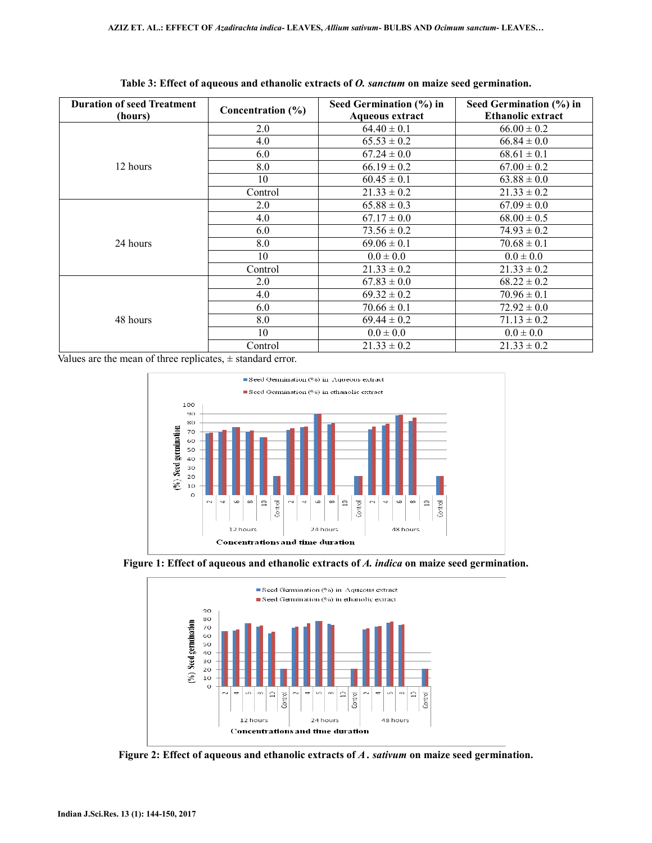| <b>Duration of seed Treatment</b><br>(hours) | Concentration $(\% )$ | Seed Germination (%) in<br><b>Aqueous extract</b> | Seed Germination (%) in<br><b>Ethanolic extract</b> |
|----------------------------------------------|-----------------------|---------------------------------------------------|-----------------------------------------------------|
|                                              | 2.0                   | $64.40 \pm 0.1$                                   | $66.00 \pm 0.2$                                     |
|                                              | 4.0                   | $65.53 \pm 0.2$                                   | $66.84 \pm 0.0$                                     |
|                                              | 6.0                   | $67.24 \pm 0.0$                                   | $68.61 \pm 0.1$                                     |
| 12 hours                                     | 8.0                   | $66.19 \pm 0.2$                                   | $67.00 \pm 0.2$                                     |
|                                              | 10                    | $60.45 \pm 0.1$                                   | $63.88 \pm 0.0$                                     |
|                                              | Control               | $21.33 \pm 0.2$                                   | $21.33 \pm 0.2$                                     |
| 24 hours                                     | 2.0                   | $65.88 \pm 0.3$                                   | $67.09 \pm 0.0$                                     |
|                                              | 4.0                   | $67.17 \pm 0.0$                                   | $68.00 \pm 0.5$                                     |
|                                              | 6.0                   | $73.56 \pm 0.2$                                   | $74.93 \pm 0.2$                                     |
|                                              | 8.0                   | $69.06 \pm 0.1$                                   | $70.68 \pm 0.1$                                     |
|                                              | 10                    | $0.0 \pm 0.0$                                     | $0.0 \pm 0.0$                                       |
|                                              | Control               | $21.33 \pm 0.2$                                   | $21.33 \pm 0.2$                                     |
| 48 hours                                     | 2.0                   | $67.83 \pm 0.0$                                   | $68.22 \pm 0.2$                                     |
|                                              | 4.0                   | $69.32 \pm 0.2$                                   | $70.96 \pm 0.1$                                     |
|                                              | 6.0                   | $70.66 \pm 0.1$                                   | $72.92 \pm 0.0$                                     |
|                                              | 8.0                   | $69.44 \pm 0.2$                                   | $71.13 \pm 0.2$                                     |
|                                              | 10                    | $0.0 \pm 0.0$                                     | $0.0 \pm 0.0$                                       |
|                                              | Control               | $21.33 \pm 0.2$                                   | $21.33 \pm 0.2$                                     |

**Table 3: Effect of aqueous and ethanolic extracts of** *O. sanctum* **on maize seed germination.** 

Values are the mean of three replicates,  $\pm$  standard error.







**Figure 2: Effect of aqueous and ethanolic extracts of** *A . sativum* **on maize seed germination.**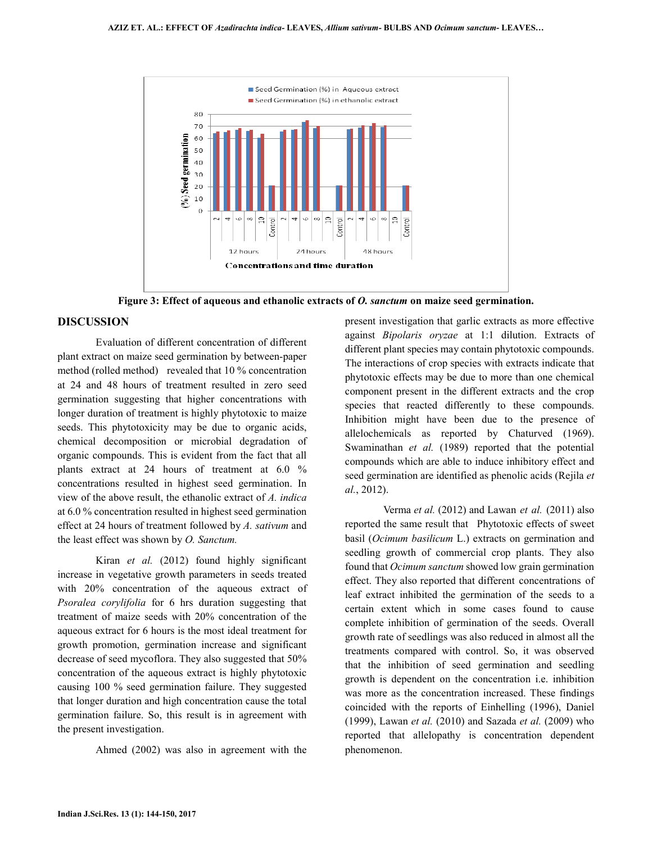

**Figure 3: Effect of aqueous and ethanolic extracts of** *O. sanctum* **on maize seed germination.** 

# **DISCUSSION**

Evaluation of different concentration of different plant extract on maize seed germination by between-paper method (rolled method) revealed that 10 % concentration at 24 and 48 hours of treatment resulted in zero seed germination suggesting that higher concentrations with longer duration of treatment is highly phytotoxic to maize seeds. This phytotoxicity may be due to organic acids, chemical decomposition or microbial degradation of organic compounds. This is evident from the fact that all plants extract at 24 hours of treatment at 6.0 % concentrations resulted in highest seed germination. In view of the above result, the ethanolic extract of *A. indica* at 6.0 % concentration resulted in highest seed germination effect at 24 hours of treatment followed by *A. sativum* and the least effect was shown by *O. Sanctum.*

Kiran *et al.* (2012) found highly significant increase in vegetative growth parameters in seeds treated with 20% concentration of the aqueous extract of *Psoralea corylifolia* for 6 hrs duration suggesting that treatment of maize seeds with 20% concentration of the aqueous extract for 6 hours is the most ideal treatment for growth promotion, germination increase and significant decrease of seed mycoflora. They also suggested that 50% concentration of the aqueous extract is highly phytotoxic causing 100 % seed germination failure. They suggested that longer duration and high concentration cause the total germination failure. So, this result is in agreement with the present investigation.

Ahmed (2002) was also in agreement with the

present investigation that garlic extracts as more effective against *Bipolaris oryzae* at 1:1 dilution. Extracts of different plant species may contain phytotoxic compounds. The interactions of crop species with extracts indicate that phytotoxic effects may be due to more than one chemical component present in the different extracts and the crop species that reacted differently to these compounds. Inhibition might have been due to the presence of allelochemicals as reported by Chaturved (1969). Swaminathan *et al.* (1989) reported that the potential compounds which are able to induce inhibitory effect and seed germination are identified as phenolic acids (Rejila *et al.*, 2012).

Verma *et al.* (2012) and Lawan *et al.* (2011) also reported the same result that Phytotoxic effects of sweet basil (*Ocimum basilicum* L.) extracts on germination and seedling growth of commercial crop plants. They also found that *Ocimum sanctum* showed low grain germination effect. They also reported that different concentrations of leaf extract inhibited the germination of the seeds to a certain extent which in some cases found to cause complete inhibition of germination of the seeds. Overall growth rate of seedlings was also reduced in almost all the treatments compared with control. So, it was observed that the inhibition of seed germination and seedling growth is dependent on the concentration i.e. inhibition was more as the concentration increased. These findings coincided with the reports of Einhelling (1996), Daniel (1999), Lawan *et al.* (2010) and Sazada *et al.* (2009) who reported that allelopathy is concentration dependent phenomenon.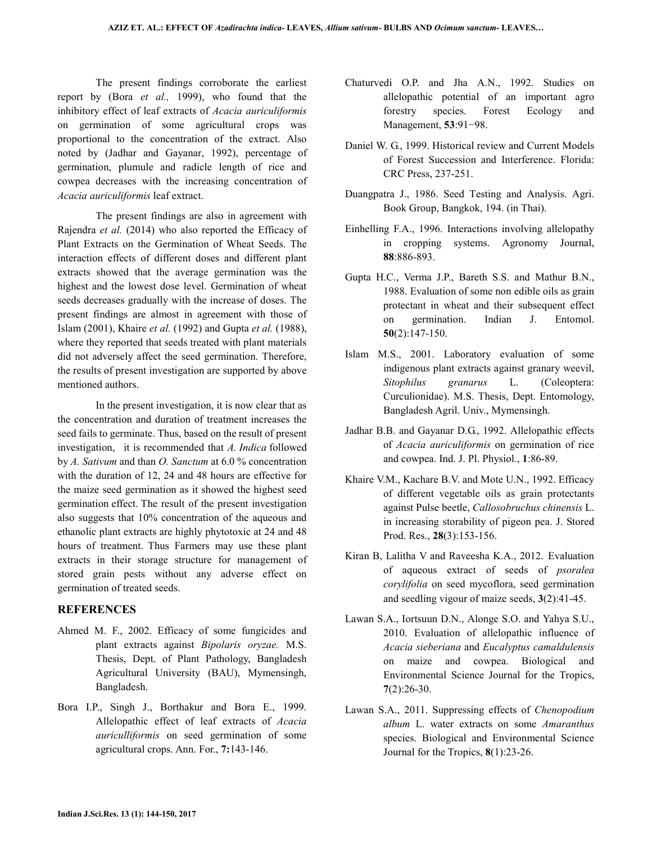The present findings corroborate the earliest report by (Bora *et al.,* 1999), who found that the inhibitory effect of leaf extracts of *Acacia auriculiformis* on germination of some agricultural crops was proportional to the concentration of the extract. Also noted by (Jadhar and Gayanar, 1992), percentage of germination, plumule and radicle length of rice and cowpea decreases with the increasing concentration of *Acacia auriculiformis* leaf extract.

The present findings are also in agreement with Rajendra *et al.* (2014) who also reported the Efficacy of Plant Extracts on the Germination of Wheat Seeds. The interaction effects of different doses and different plant extracts showed that the average germination was the highest and the lowest dose level. Germination of wheat seeds decreases gradually with the increase of doses. The present findings are almost in agreement with those of Islam (2001), Khaire *et al.* (1992) and Gupta *et al.* (1988), where they reported that seeds treated with plant materials did not adversely affect the seed germination. Therefore, the results of present investigation are supported by above mentioned authors.

In the present investigation, it is now clear that as the concentration and duration of treatment increases the seed fails to germinate. Thus, based on the result of present investigation, it is recommended that *A. Indica* followed by *A. Sativum* and than *O. Sanctum* at 6.0 % concentration with the duration of 12, 24 and 48 hours are effective for the maize seed germination as it showed the highest seed germination effect. The result of the present investigation also suggests that 10% concentration of the aqueous and ethanolic plant extracts are highly phytotoxic at 24 and 48 hours of treatment. Thus Farmers may use these plant extracts in their storage structure for management of stored grain pests without any adverse effect on germination of treated seeds.

# **REFERENCES**

- Ahmed M. F., 2002. Efficacy of some fungicides and plant extracts against *Bipolaris oryzae.* M.S. Thesis, Dept. of Plant Pathology, Bangladesh Agricultural University (BAU), Mymensingh, Bangladesh.
- Bora I.P., Singh J., Borthakur and Bora E., 1999. Allelopathic effect of leaf extracts of *Acacia auriculliformis* on seed germination of some agricultural crops. Ann. For., **7:**143-146.
- Chaturvedi O.P. and Jha A.N., 1992. Studies on allelopathic potential of an important agro forestry species. Forest Ecology and Management, **53**:91−98.
- Daniel W. G., 1999. Historical review and Current Models of Forest Succession and Interference. Florida: CRC Press, 237-251.
- Duangpatra J., 1986. Seed Testing and Analysis. Agri. Book Group, Bangkok, 194. (in Thai).
- Einhelling F.A., 1996. Interactions involving allelopathy in cropping systems. Agronomy Journal, **88**:886-893.
- Gupta H.C., Verma J.P., Bareth S.S. and Mathur B.N., 1988. Evaluation of some non edible oils as grain protectant in wheat and their subsequent effect on germination. Indian J. Entomol. **50**(2):147-150.
- Islam M.S., 2001. Laboratory evaluation of some indigenous plant extracts against granary weevil, *Sitophilus granarus* L. (Coleoptera: Curculionidae). M.S. Thesis, Dept. Entomology, Bangladesh Agril. Univ., Mymensingh.
- Jadhar B.B. and Gayanar D.G., 1992. Allelopathic effects of *Acacia auriculiformis* on germination of rice and cowpea. Ind. J. Pl. Physiol., **1**:86-89.
- Khaire V.M., Kachare B.V. and Mote U.N., 1992. Efficacy of different vegetable oils as grain protectants against Pulse beetle, *Callosobruchus chinensis* L. in increasing storability of pigeon pea. J. Stored Prod. Res., **28**(3):153-156.
- Kiran B, Lalitha V and Raveesha K.A., 2012. Evaluation of aqueous extract of seeds of *psoralea corylifolia* on seed mycoflora, seed germination and seedling vigour of maize seeds, **3**(2):41-45.
- Lawan S.A., Iortsuun D.N., Alonge S.O. and Yahya S.U., 2010. Evaluation of allelopathic influence of *Acacia sieberiana* and *Eucalyptus camaldulensis* on maize and cowpea. Biological and Environmental Science Journal for the Tropics, **7**(2):26-30.
- Lawan S.A., 2011. Suppressing effects of *Chenopodium album* L. water extracts on some *Amaranthus*  species. Biological and Environmental Science Journal for the Tropics, **8**(1):23-26.